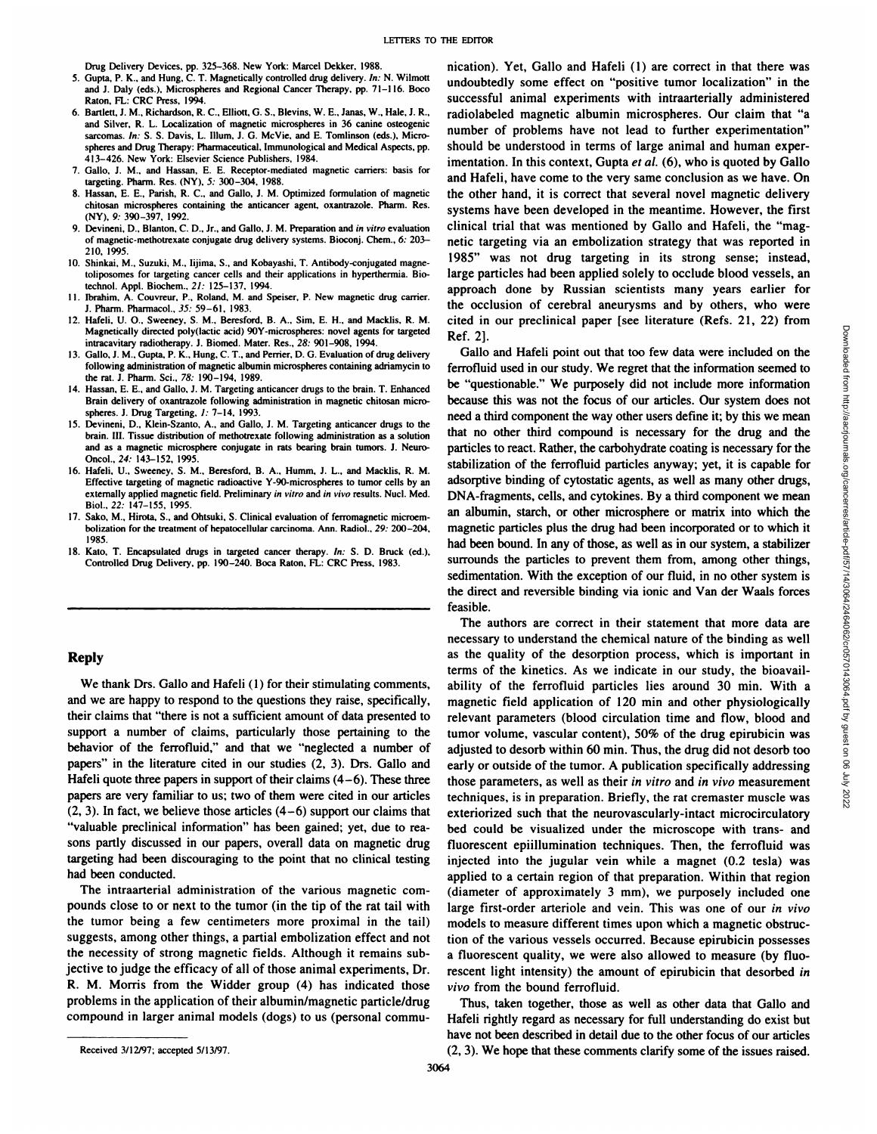Drug Delivery Devices, pp. 325-368. New York: Marcel Dekker, 1988.

- 5. Gupta, P. K., and Hung, C. T. Magnetically controlled drug delivery. in: N. Wilmott and J. Daly (eds.), Microspheres and Regional Cancer Therapy. pp. 71—116. Boco Raton, FL: CRC Press, 1994.
- 6. Bartlett, J. M., Richardson, R. C., Elliott, G. S., Blevins, W. E., Janas, W., Hale, J. R., and Silver, R. L. Localization of magnetic microspheres in 36 canine osteogenic sarcomas. In: S. S. Davis, L. Illum, J. G. McVie, and E. Tomlinson (eds.), Microspheres and Drug Therapy: Pharmaceutical, Immunological and Medical Aspects, pp. 413—426.New York: Elsevier Science Publishers, 1984.
- 7. Gallo, J. M., and Hassan, E. E. Receptor-mediated magnetic carriers: basis for targeting. Pharm. Res. (NY), 5: 300-304, 1988.
- 8. Hassan, E. E., Parish, R. C., and Gallo, J. M. Optimized formulation of magnetic chitosan microspheres containing the anticancer agent, oxantrazole. Pharm. Res. (NY), 9: 390—397,1992.
- 9. Devineni, D., Blanton, C. D., Jr., and Gallo, J. M. Preparation and in vitro evaluation of magnetic-methotrexate conjugate drug delivery systems. Bioconj. Chem., 6: 203— 210, 1995.
- 10. Shinkai, M., Suzuki, M., lijima, S., and Kobayashi, T. Antibody-conjugated magne **toliposomes for targeting cancer cells and their applications in hyperthermia. Bio** technol. AppI. Biochem.. 21: 125—137,1994.
- II. Ibrahim, A. Couvreur, P., Roland, M. and Speiser, P. New magnetic drug carrier. **J.Pharm.Pharmacol.,35:59—61,1983.**
- 12. Hafeli, U. 0., Sweeney, S. M., Beresford, B. A., Sim, E. H., and Macklis, R. M. **Magnetically directed poly(lactic acid) 90Y-microspheres: novel agents for targeted** intracavitary radiotherapy. J. Biomed. Mater. Res., 28: 901—908,1994.
- 13. Gallo, J. M.. Gupta, P. K.. Hung. C. T., and Perrier, D. G. Evaluation of drug delivery following administration of magnetic albumin microspheres containing adriamycin to the rat. J. Pharm. Sci., 78: 190—194, 1989.
- 14. Hassan, E. E., and Gallo, J. M. Targeting anticancer drugs to the brain. T. Enhanced Brain delivery of oxantrazole following administration in magnetic chitosan micro spheres. J. Drug Targeting, 1: 7—14, 1993.
- 15. Devineni, D., Klein-Szanto, A., and Gallo, J. M. Targeting anticancer drugs to the brain. III. Tissue distribution of methotrexate following administration as a solution and as a magnetic microsphere conjugate in rats bearing brain tumors. J. Neuro Oncol.,24: 143—152, 1995.
- 16. Hafeli, U., Sweeney, S. M., Beresford, B. A., Humm, J. L., and Macklis, R. M. Effective targeting of magnetic radioactive Y-90-microspheres to tumor cells by an externally applied magnetic field. Preliminary in vitro and in vivo results. Nucl. Med. **Biol., 22: 147—155, 1995.**
- 17. Sako, M., Hirota, S., and Ohisuki, S. Clinical evaluation of ferromagnetic microem bolization for the treatment of hepatocellular carcinoma. Ann. Radiol., 29: 200—204, 1985.
- 18. Kato, T. Encapsulated drugs in targeted cancer therapy. in: S. D. Bruck (ed), Controlled Drug Delivery, pp. 190—240.Boca Raton, FL: CRC Press, 1983.

## **Reply**

**We thank Drs. Gallo and Hafeli (1) for their stimulating comments,** and we are happy to respond to the questions they raise, specifically, their claims that "there is not a sufficient amount of data presented to support a number of claims, particularly those pertaining to the behavior of the ferrofluid," and that we "neglected a number of papers" in the literature cited in our studies (2, 3). Drs. Gallo and Hafeli quote three papers in support of their claims  $(4-6)$ . These three papers are very familiar to us; two of them were cited in our articles  $(2, 3)$ . In fact, we believe those articles  $(4-6)$  support our claims that "valuable preclinical information" has been gained; yet, due to reasons partly discussed in our papers, overall data on magnetic drug targeting had been discouraging to the point that no clinical testing had been conducted.

The intraarterial administration of the various magnetic com pounds close to or next to the tumor (in the tip of the rat tail with the tumor being a few centimeters more proximal in the tail) suggests, among other things, a partial embolization effect and not the necessity of strong magnetic fields. Although it remains sub jective to judge the efficacy of all of those animal experiments, Dr. **R. M. Morris from the Widder group (4) has indicated those** problems in the application of their albumin/magnetic particle/drug compound in larger animal models (dogs) to us (personal commu

nication). Yet, Gallo and Hafeli (1) are correct in that there was **undoubtedly some effect on "positivetumor localization―in the** successful animal experiments with intraarterially administered radiolabeled magnetic albumin microspheres. Our claim that "a number of problems have not lead to further experimentation" should be understood in terms of large animal and human exper imentation. In this context, Gupta et al. (6), who is quoted by Gallo **and Hafeli, have come to the very same conclusion as we have. On** the other hand, it is correct that several novel magnetic delivery systems have been developed in the meantime. However, the first clinical trial that was mentioned by Gallo and Hafeli, the "mag netic targeting via an embolization strategy that was reported in **1985― was not drug targetingin its strongsense;instead,** large particles had been applied solely to occlude blood vessels, an **approach done by Russian scientists many years earlier for the occlusion of cerebral aneurysms and by others, who were** Ref.2].

cited in our preclinical paper [see literature (Refs. 21, 22) from<br>
Callo and Hafeli point out that too few data were included on the<br>
ferrofluid used in our study. We regret that the information seemed to<br>
ferrofluid use Gallo and Hafeli point out that too few datawere included on the ferrofluid used in our study. We regret that the information seemed to **be "questionable.― We purposely did not include more information** because this was not the focus of our articles. Our system does not need a third component the way other users define it; by this we mean that no other third compound is necessary for the drug and the particles to react. Rather, the carbohydrate coating is necessary for the stabilization of the ferrofluid particles anyway; yet, it is capable for adsorptive binding of cytostatic agents, as well as many other drugs, DNA-fragments, cells, and cytokines. By a third component we mean **an albumin, starch, or other microsphere or matrix into which the** magnetic particles plus the drug had been incorporated or to which it had been bound. In any of those, as well as in our system, a stabilizer surrounds the particles to prevent them from, among other things, sedimentation. With the exception of our fluid, in no other system is the direct and reversible binding via ionic and Van der Waals forces feasible.

**The authors are correct in their statement that more data are** necessary to understand the chemical nature of the binding as well as the quality of the desorption process, which is important in terms of the kinetics. As we indicate in our study, the bioavail ability of the ferrofluid particles lies around 30 min. With a magnetic field application of 120 min and other physiologically relevant parameters (blood circulation time and flow, blood and **tumor volume, vascular content), 50% of the drug epirubicin was** adjusted to desorb within 60 min. Thus, the drug did not desorb too early or outside of the tumor. A publication specifically addressing those parameters, as well as their in vitro and in vivo measurement techniques, is in preparation. Briefly, the rat cremaster muscle was **exteriorized such that the neurovascularly-intact microcirculatory** bed could be visualized under the microscope with trans- and fluorescent epiillumination techniques. Then, the ferrofluid was injected into the jugular vein while a magnet (0.2 tesla) was applied to a certain region of that preparation. Within that region (diameter of approximately 3 mm), we purposely included one large first-order arteriole and vein. This was one of our in vivo models to measure different times upon which a magnetic obstruc tion of the various vessels occurred. Because epirubicin possesses a fluorescent quality, we were also allowed to measure (by fluo rescent light intensity) the amount of epirubicin that desorbed in vivo from the bound ferrofluid.

Thus, taken together, those as well as other data that Gallo and Hafeli rightly regard as necessary for full understanding do exist but have not been described in detail due to the other focus of our articles (2, 3). We hope that these comments clarify some of the issues raised.

Received 3/12/97; accepted 5/13/97.